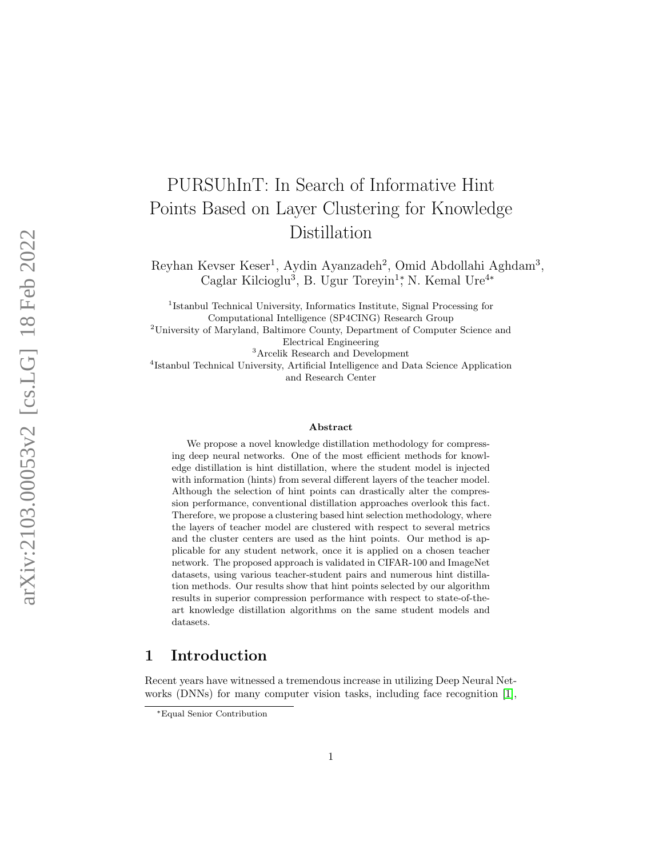# PURSUhInT: In Search of Informative Hint Points Based on Layer Clustering for Knowledge Distillation

Reyhan Kevser Keser 1 , Aydin Ayanzadeh 2 , Omid Abdollahi Aghdam 3 , Caglar Kilcioglu<sup>3</sup>, B. Ugur Toreyin<sup>1</sup>; N. Kemal Ure<sup>4\*</sup>

<sup>1</sup>Istanbul Technical University, Informatics Institute, Signal Processing for Computational Intelligence (SP4CING) Research Group

<sup>2</sup>University of Maryland, Baltimore County, Department of Computer Science and Electrical Engineering

<sup>3</sup>Arcelik Research and Development

4 Istanbul Technical University, Artificial Intelligence and Data Science Application and Research Center

#### Abstract

We propose a novel knowledge distillation methodology for compressing deep neural networks. One of the most efficient methods for knowledge distillation is hint distillation, where the student model is injected with information (hints) from several different layers of the teacher model. Although the selection of hint points can drastically alter the compression performance, conventional distillation approaches overlook this fact. Therefore, we propose a clustering based hint selection methodology, where the layers of teacher model are clustered with respect to several metrics and the cluster centers are used as the hint points. Our method is applicable for any student network, once it is applied on a chosen teacher network. The proposed approach is validated in CIFAR-100 and ImageNet datasets, using various teacher-student pairs and numerous hint distillation methods. Our results show that hint points selected by our algorithm results in superior compression performance with respect to state-of-theart knowledge distillation algorithms on the same student models and datasets.

## 1 Introduction

Recent years have witnessed a tremendous increase in utilizing Deep Neural Networks (DNNs) for many computer vision tasks, including face recognition [\[1\]](#page-18-0),

<sup>∗</sup>Equal Senior Contribution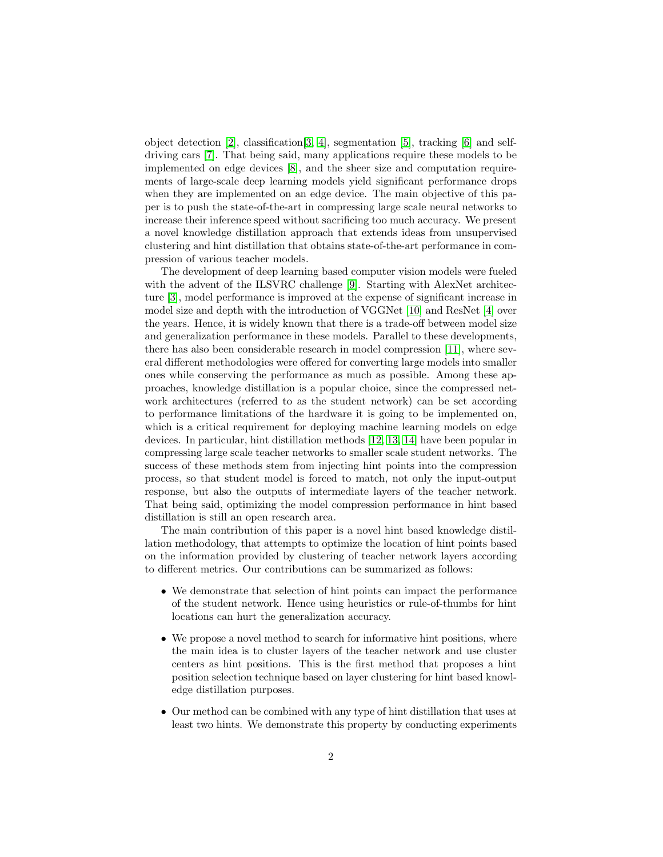object detection [\[2\]](#page-18-1), classification[\[3,](#page-18-2) [4\]](#page-18-3), segmentation [\[5\]](#page-19-0), tracking [\[6\]](#page-19-1) and selfdriving cars [\[7\]](#page-19-2). That being said, many applications require these models to be implemented on edge devices [\[8\]](#page-19-3), and the sheer size and computation requirements of large-scale deep learning models yield significant performance drops when they are implemented on an edge device. The main objective of this paper is to push the state-of-the-art in compressing large scale neural networks to increase their inference speed without sacrificing too much accuracy. We present a novel knowledge distillation approach that extends ideas from unsupervised clustering and hint distillation that obtains state-of-the-art performance in compression of various teacher models.

The development of deep learning based computer vision models were fueled with the advent of the ILSVRC challenge [\[9\]](#page-19-4). Starting with AlexNet architecture [\[3\]](#page-18-2), model performance is improved at the expense of significant increase in model size and depth with the introduction of VGGNet [\[10\]](#page-19-5) and ResNet [\[4\]](#page-18-3) over the years. Hence, it is widely known that there is a trade-off between model size and generalization performance in these models. Parallel to these developments, there has also been considerable research in model compression [\[11\]](#page-19-6), where several different methodologies were offered for converting large models into smaller ones while conserving the performance as much as possible. Among these approaches, knowledge distillation is a popular choice, since the compressed network architectures (referred to as the student network) can be set according to performance limitations of the hardware it is going to be implemented on, which is a critical requirement for deploying machine learning models on edge devices. In particular, hint distillation methods [\[12,](#page-19-7) [13,](#page-19-8) [14\]](#page-19-9) have been popular in compressing large scale teacher networks to smaller scale student networks. The success of these methods stem from injecting hint points into the compression process, so that student model is forced to match, not only the input-output response, but also the outputs of intermediate layers of the teacher network. That being said, optimizing the model compression performance in hint based distillation is still an open research area.

The main contribution of this paper is a novel hint based knowledge distillation methodology, that attempts to optimize the location of hint points based on the information provided by clustering of teacher network layers according to different metrics. Our contributions can be summarized as follows:

- We demonstrate that selection of hint points can impact the performance of the student network. Hence using heuristics or rule-of-thumbs for hint locations can hurt the generalization accuracy.
- We propose a novel method to search for informative hint positions, where the main idea is to cluster layers of the teacher network and use cluster centers as hint positions. This is the first method that proposes a hint position selection technique based on layer clustering for hint based knowledge distillation purposes.
- Our method can be combined with any type of hint distillation that uses at least two hints. We demonstrate this property by conducting experiments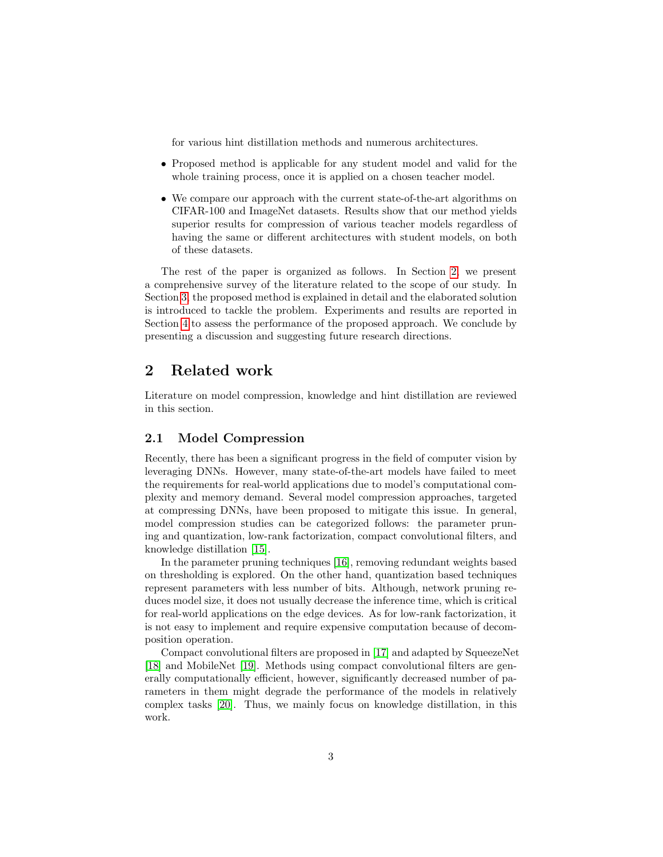for various hint distillation methods and numerous architectures.

- Proposed method is applicable for any student model and valid for the whole training process, once it is applied on a chosen teacher model.
- We compare our approach with the current state-of-the-art algorithms on CIFAR-100 and ImageNet datasets. Results show that our method yields superior results for compression of various teacher models regardless of having the same or different architectures with student models, on both of these datasets.

The rest of the paper is organized as follows. In Section [2,](#page-2-0) we present a comprehensive survey of the literature related to the scope of our study. In Section [3,](#page-5-0) the proposed method is explained in detail and the elaborated solution is introduced to tackle the problem. Experiments and results are reported in Section [4](#page-10-0) to assess the performance of the proposed approach. We conclude by presenting a discussion and suggesting future research directions.

# <span id="page-2-0"></span>2 Related work

Literature on model compression, knowledge and hint distillation are reviewed in this section.

## 2.1 Model Compression

Recently, there has been a significant progress in the field of computer vision by leveraging DNNs. However, many state-of-the-art models have failed to meet the requirements for real-world applications due to model's computational complexity and memory demand. Several model compression approaches, targeted at compressing DNNs, have been proposed to mitigate this issue. In general, model compression studies can be categorized follows: the parameter pruning and quantization, low-rank factorization, compact convolutional filters, and knowledge distillation [\[15\]](#page-19-10).

In the parameter pruning techniques [\[16\]](#page-19-11), removing redundant weights based on thresholding is explored. On the other hand, quantization based techniques represent parameters with less number of bits. Although, network pruning reduces model size, it does not usually decrease the inference time, which is critical for real-world applications on the edge devices. As for low-rank factorization, it is not easy to implement and require expensive computation because of decomposition operation.

Compact convolutional filters are proposed in [\[17\]](#page-20-0) and adapted by SqueezeNet [\[18\]](#page-20-1) and MobileNet [\[19\]](#page-20-2). Methods using compact convolutional filters are generally computationally efficient, however, significantly decreased number of parameters in them might degrade the performance of the models in relatively complex tasks [\[20\]](#page-20-3). Thus, we mainly focus on knowledge distillation, in this work.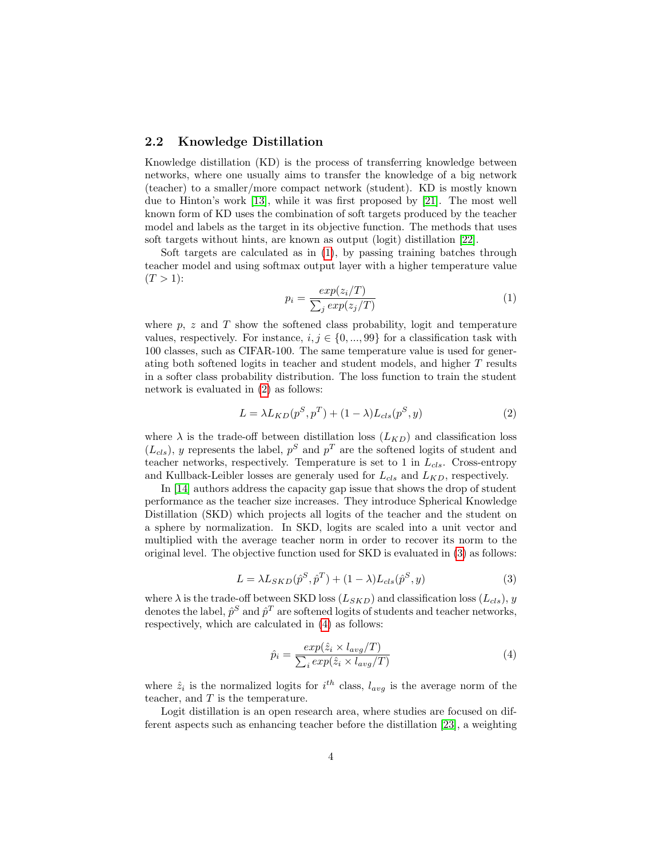#### 2.2 Knowledge Distillation

Knowledge distillation (KD) is the process of transferring knowledge between networks, where one usually aims to transfer the knowledge of a big network (teacher) to a smaller/more compact network (student). KD is mostly known due to Hinton's work [\[13\]](#page-19-8), while it was first proposed by [\[21\]](#page-20-4). The most well known form of KD uses the combination of soft targets produced by the teacher model and labels as the target in its objective function. The methods that uses soft targets without hints, are known as output (logit) distillation [\[22\]](#page-20-5).

Soft targets are calculated as in [\(1\)](#page-3-0), by passing training batches through teacher model and using softmax output layer with a higher temperature value  $(T > 1)$ :

<span id="page-3-0"></span>
$$
p_i = \frac{exp(z_i/T)}{\sum_j exp(z_j/T)}
$$
(1)

where  $p, z$  and T show the softened class probability, logit and temperature values, respectively. For instance,  $i, j \in \{0, ..., 99\}$  for a classification task with 100 classes, such as CIFAR-100. The same temperature value is used for generating both softened logits in teacher and student models, and higher T results in a softer class probability distribution. The loss function to train the student network is evaluated in [\(2\)](#page-3-1) as follows:

<span id="page-3-1"></span>
$$
L = \lambda L_{KD}(p^S, p^T) + (1 - \lambda) L_{cls}(p^S, y)
$$
\n<sup>(2)</sup>

where  $\lambda$  is the trade-off between distillation loss  $(L_{KD})$  and classification loss  $(L_{cls})$ , y represents the label,  $p^S$  and  $p^T$  are the softened logits of student and teacher networks, respectively. Temperature is set to 1 in  $L_{cls}$ . Cross-entropy and Kullback-Leibler losses are generaly used for  $L_{cls}$  and  $L_{KD}$ , respectively.

In [\[14\]](#page-19-9) authors address the capacity gap issue that shows the drop of student performance as the teacher size increases. They introduce Spherical Knowledge Distillation (SKD) which projects all logits of the teacher and the student on a sphere by normalization. In SKD, logits are scaled into a unit vector and multiplied with the average teacher norm in order to recover its norm to the original level. The objective function used for SKD is evaluated in [\(3\)](#page-3-2) as follows:

<span id="page-3-2"></span>
$$
L = \lambda L_{SKD}(\hat{p}^S, \hat{p}^T) + (1 - \lambda) L_{cls}(\hat{p}^S, y)
$$
\n(3)

where  $\lambda$  is the trade-off between SKD loss  $(L_{SKD})$  and classification loss  $(L_{cls})$ , y denotes the label,  $\hat{p}^S$  and  $\hat{p}^T$  are softened logits of students and teacher networks, respectively, which are calculated in [\(4\)](#page-3-3) as follows:

<span id="page-3-3"></span>
$$
\hat{p}_i = \frac{\exp(\hat{z}_i \times l_{avg}/T)}{\sum_i \exp(\hat{z}_i \times l_{avg}/T)}\tag{4}
$$

where  $\hat{z}_i$  is the normalized logits for  $i^{th}$  class,  $l_{avg}$  is the average norm of the teacher, and  $T$  is the temperature.

Logit distillation is an open research area, where studies are focused on different aspects such as enhancing teacher before the distillation [\[23\]](#page-20-6), a weighting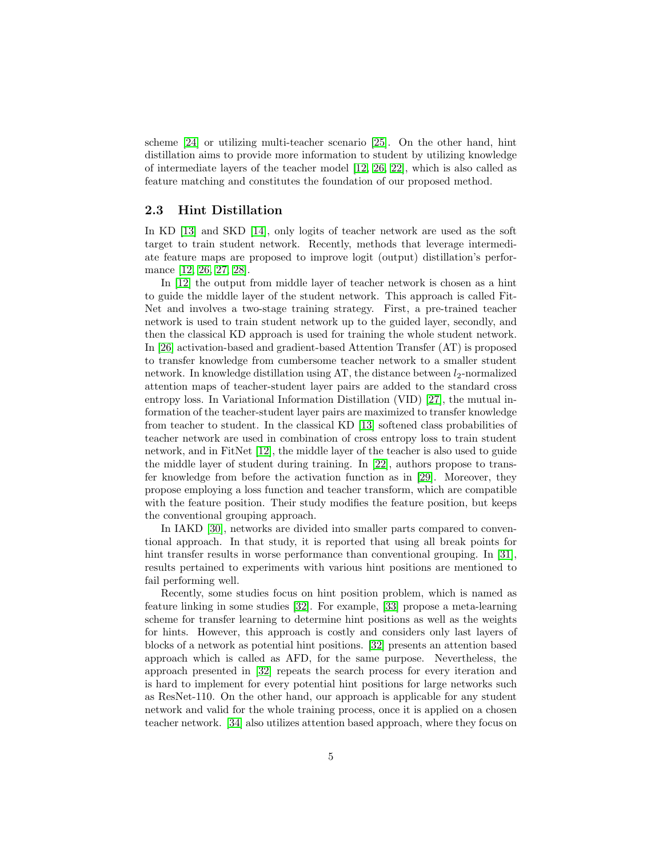scheme [\[24\]](#page-20-7) or utilizing multi-teacher scenario [\[25\]](#page-20-8). On the other hand, hint distillation aims to provide more information to student by utilizing knowledge of intermediate layers of the teacher model [\[12,](#page-19-7) [26,](#page-20-9) [22\]](#page-20-5), which is also called as feature matching and constitutes the foundation of our proposed method.

### 2.3 Hint Distillation

In KD [\[13\]](#page-19-8) and SKD [\[14\]](#page-19-9), only logits of teacher network are used as the soft target to train student network. Recently, methods that leverage intermediate feature maps are proposed to improve logit (output) distillation's performance [\[12,](#page-19-7) [26,](#page-20-9) [27,](#page-20-10) [28\]](#page-20-11).

In [\[12\]](#page-19-7) the output from middle layer of teacher network is chosen as a hint to guide the middle layer of the student network. This approach is called Fit-Net and involves a two-stage training strategy. First, a pre-trained teacher network is used to train student network up to the guided layer, secondly, and then the classical KD approach is used for training the whole student network. In [\[26\]](#page-20-9) activation-based and gradient-based Attention Transfer (AT) is proposed to transfer knowledge from cumbersome teacher network to a smaller student network. In knowledge distillation using AT, the distance between  $l_2$ -normalized attention maps of teacher-student layer pairs are added to the standard cross entropy loss. In Variational Information Distillation (VID) [\[27\]](#page-20-10), the mutual information of the teacher-student layer pairs are maximized to transfer knowledge from teacher to student. In the classical KD [\[13\]](#page-19-8) softened class probabilities of teacher network are used in combination of cross entropy loss to train student network, and in FitNet [\[12\]](#page-19-7), the middle layer of the teacher is also used to guide the middle layer of student during training. In [\[22\]](#page-20-5), authors propose to transfer knowledge from before the activation function as in [\[29\]](#page-20-12). Moreover, they propose employing a loss function and teacher transform, which are compatible with the feature position. Their study modifies the feature position, but keeps the conventional grouping approach.

In IAKD [\[30\]](#page-21-0), networks are divided into smaller parts compared to conventional approach. In that study, it is reported that using all break points for hint transfer results in worse performance than conventional grouping. In [\[31\]](#page-21-1), results pertained to experiments with various hint positions are mentioned to fail performing well.

Recently, some studies focus on hint position problem, which is named as feature linking in some studies [\[32\]](#page-21-2). For example, [\[33\]](#page-21-3) propose a meta-learning scheme for transfer learning to determine hint positions as well as the weights for hints. However, this approach is costly and considers only last layers of blocks of a network as potential hint positions. [\[32\]](#page-21-2) presents an attention based approach which is called as AFD, for the same purpose. Nevertheless, the approach presented in [\[32\]](#page-21-2) repeats the search process for every iteration and is hard to implement for every potential hint positions for large networks such as ResNet-110. On the other hand, our approach is applicable for any student network and valid for the whole training process, once it is applied on a chosen teacher network. [\[34\]](#page-21-4) also utilizes attention based approach, where they focus on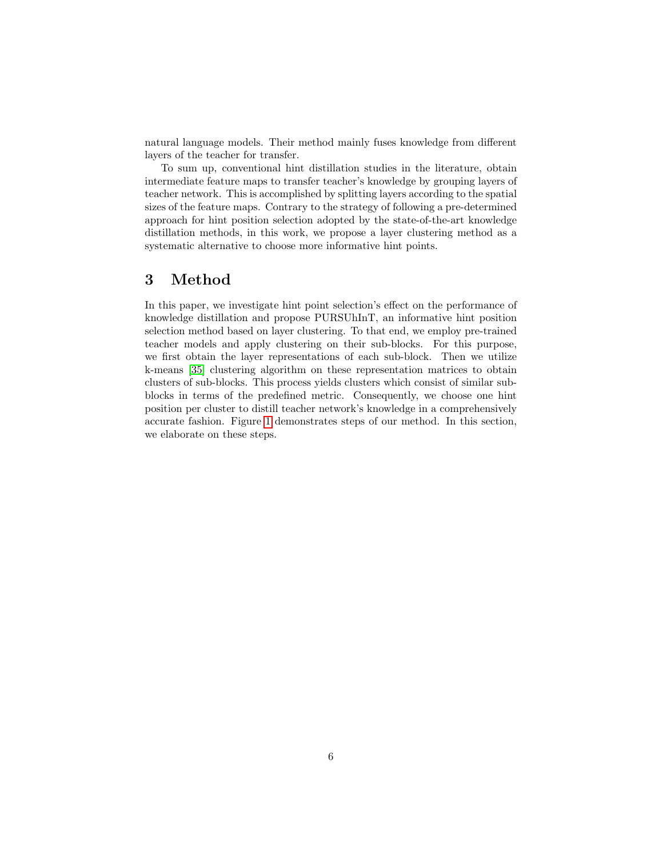natural language models. Their method mainly fuses knowledge from different layers of the teacher for transfer.

To sum up, conventional hint distillation studies in the literature, obtain intermediate feature maps to transfer teacher's knowledge by grouping layers of teacher network. This is accomplished by splitting layers according to the spatial sizes of the feature maps. Contrary to the strategy of following a pre-determined approach for hint position selection adopted by the state-of-the-art knowledge distillation methods, in this work, we propose a layer clustering method as a systematic alternative to choose more informative hint points.

# <span id="page-5-0"></span>3 Method

In this paper, we investigate hint point selection's effect on the performance of knowledge distillation and propose PURSUhInT, an informative hint position selection method based on layer clustering. To that end, we employ pre-trained teacher models and apply clustering on their sub-blocks. For this purpose, we first obtain the layer representations of each sub-block. Then we utilize k-means [\[35\]](#page-21-5) clustering algorithm on these representation matrices to obtain clusters of sub-blocks. This process yields clusters which consist of similar subblocks in terms of the predefined metric. Consequently, we choose one hint position per cluster to distill teacher network's knowledge in a comprehensively accurate fashion. Figure [1](#page-6-0) demonstrates steps of our method. In this section, we elaborate on these steps.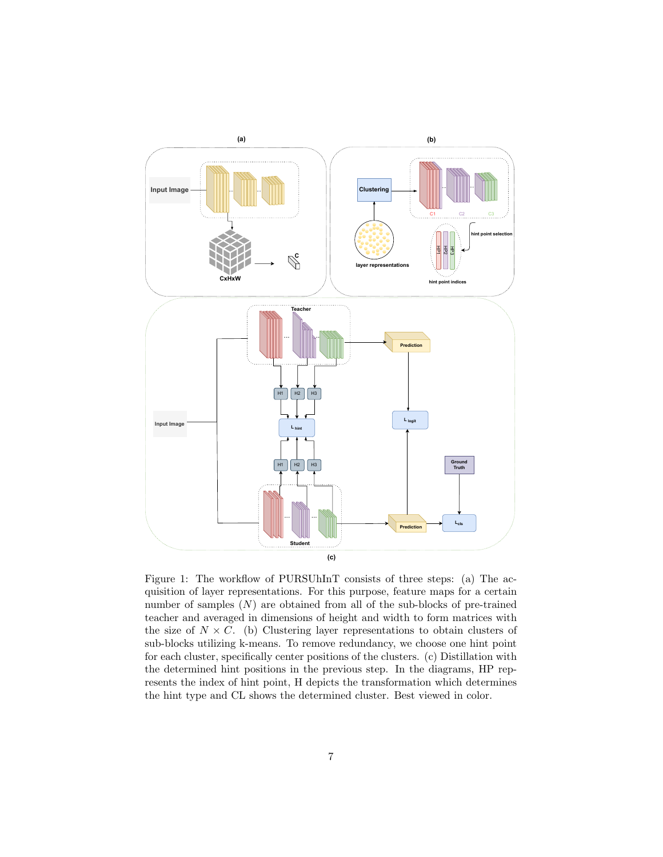<span id="page-6-0"></span>

Figure 1: The workflow of PURSUhInT consists of three steps: (a) The acquisition of layer representations. For this purpose, feature maps for a certain number of samples  $(N)$  are obtained from all of the sub-blocks of pre-trained teacher and averaged in dimensions of height and width to form matrices with the size of  $N \times C$ . (b) Clustering layer representations to obtain clusters of sub-blocks utilizing k-means. To remove redundancy, we choose one hint point for each cluster, specifically center positions of the clusters. (c) Distillation with the determined hint positions in the previous step. In the diagrams, HP represents the index of hint point, H depicts the transformation which determines the hint type and CL shows the determined cluster. Best viewed in color.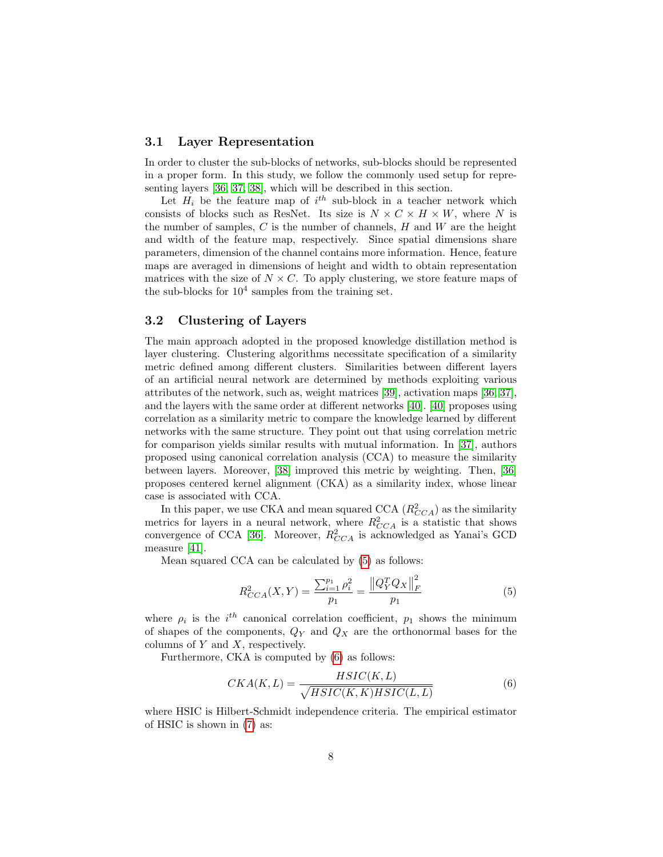#### 3.1 Layer Representation

In order to cluster the sub-blocks of networks, sub-blocks should be represented in a proper form. In this study, we follow the commonly used setup for representing layers [\[36,](#page-21-6) [37,](#page-21-7) [38\]](#page-21-8), which will be described in this section.

Let  $H_i$  be the feature map of  $i^{th}$  sub-block in a teacher network which consists of blocks such as ResNet. Its size is  $N \times C \times H \times W$ , where N is the number of samples,  $C$  is the number of channels,  $H$  and  $W$  are the height and width of the feature map, respectively. Since spatial dimensions share parameters, dimension of the channel contains more information. Hence, feature maps are averaged in dimensions of height and width to obtain representation matrices with the size of  $N \times C$ . To apply clustering, we store feature maps of the sub-blocks for  $10^4$  samples from the training set.

## 3.2 Clustering of Layers

The main approach adopted in the proposed knowledge distillation method is layer clustering. Clustering algorithms necessitate specification of a similarity metric defined among different clusters. Similarities between different layers of an artificial neural network are determined by methods exploiting various attributes of the network, such as, weight matrices [\[39\]](#page-21-9), activation maps [\[36,](#page-21-6) [37\]](#page-21-7), and the layers with the same order at different networks [\[40\]](#page-21-10). [\[40\]](#page-21-10) proposes using correlation as a similarity metric to compare the knowledge learned by different networks with the same structure. They point out that using correlation metric for comparison yields similar results with mutual information. In [\[37\]](#page-21-7), authors proposed using canonical correlation analysis (CCA) to measure the similarity between layers. Moreover, [\[38\]](#page-21-8) improved this metric by weighting. Then, [\[36\]](#page-21-6) proposes centered kernel alignment (CKA) as a similarity index, whose linear case is associated with CCA.

In this paper, we use CKA and mean squared CCA  $(R_{CCA}^2)$  as the similarity metrics for layers in a neural network, where  $R_{CCA}^2$  is a statistic that shows convergence of CCA [\[36\]](#page-21-6). Moreover,  $R_{CCA}^2$  is acknowledged as Yanai's GCD measure [\[41\]](#page-21-11).

Mean squared CCA can be calculated by [\(5\)](#page-7-0) as follows:

<span id="page-7-0"></span>
$$
R_{CCA}^{2}(X,Y) = \frac{\sum_{i=1}^{p_1} \rho_i^2}{p_1} = \frac{\left\|Q_Y^T Q_X\right\|_F^2}{p_1} \tag{5}
$$

where  $\rho_i$  is the  $i^{th}$  canonical correlation coefficient,  $p_1$  shows the minimum of shapes of the components,  $Q_Y$  and  $Q_X$  are the orthonormal bases for the columns of  $Y$  and  $X$ , respectively.

Furthermore, CKA is computed by [\(6\)](#page-7-1) as follows:

<span id="page-7-1"></span>
$$
CKA(K,L) = \frac{HSIC(K,L)}{\sqrt{HSIC(K,K)HSIC(L,L)}}\tag{6}
$$

where HSIC is Hilbert-Schmidt independence criteria. The empirical estimator of HSIC is shown in [\(7\)](#page-8-0) as: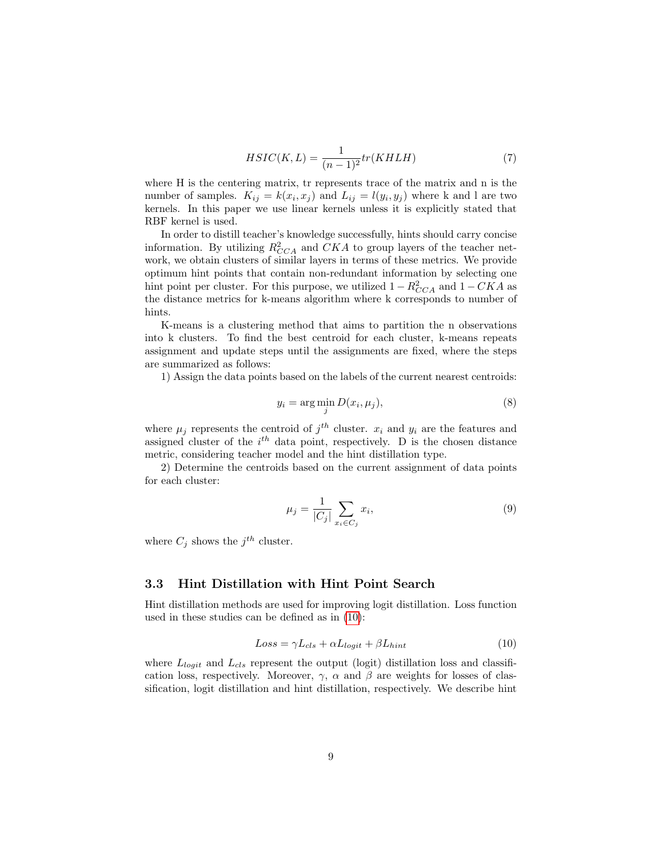<span id="page-8-0"></span>
$$
HSIC(K, L) = \frac{1}{(n-1)^2} tr(KH L H)
$$
\n<sup>(7)</sup>

where H is the centering matrix, tr represents trace of the matrix and n is the number of samples.  $K_{ij} = k(x_i, x_j)$  and  $L_{ij} = l(y_i, y_j)$  where k and l are two kernels. In this paper we use linear kernels unless it is explicitly stated that RBF kernel is used.

In order to distill teacher's knowledge successfully, hints should carry concise information. By utilizing  $R_{CCA}^2$  and  $CKA$  to group layers of the teacher network, we obtain clusters of similar layers in terms of these metrics. We provide optimum hint points that contain non-redundant information by selecting one hint point per cluster. For this purpose, we utilized  $1 - R_{CCA}^2$  and  $1 - CKA$  as the distance metrics for k-means algorithm where k corresponds to number of hints.

K-means is a clustering method that aims to partition the n observations into k clusters. To find the best centroid for each cluster, k-means repeats assignment and update steps until the assignments are fixed, where the steps are summarized as follows:

1) Assign the data points based on the labels of the current nearest centroids:

$$
y_i = \arg\min_j D(x_i, \mu_j),\tag{8}
$$

where  $\mu_j$  represents the centroid of  $j^{th}$  cluster.  $x_i$  and  $y_i$  are the features and assigned cluster of the  $i<sup>th</sup>$  data point, respectively. D is the chosen distance metric, considering teacher model and the hint distillation type.

2) Determine the centroids based on the current assignment of data points for each cluster:

$$
\mu_j = \frac{1}{|C_j|} \sum_{x_i \in C_j} x_i,
$$
\n(9)

where  $C_j$  shows the  $j^{th}$  cluster.

## 3.3 Hint Distillation with Hint Point Search

Hint distillation methods are used for improving logit distillation. Loss function used in these studies can be defined as in [\(10\)](#page-8-1):

<span id="page-8-1"></span>
$$
Loss = \gamma L_{cls} + \alpha L_{logit} + \beta L_{hint}
$$
\n(10)

where  $L_{logit}$  and  $L_{cls}$  represent the output (logit) distillation loss and classification loss, respectively. Moreover,  $\gamma$ ,  $\alpha$  and  $\beta$  are weights for losses of classification, logit distillation and hint distillation, respectively. We describe hint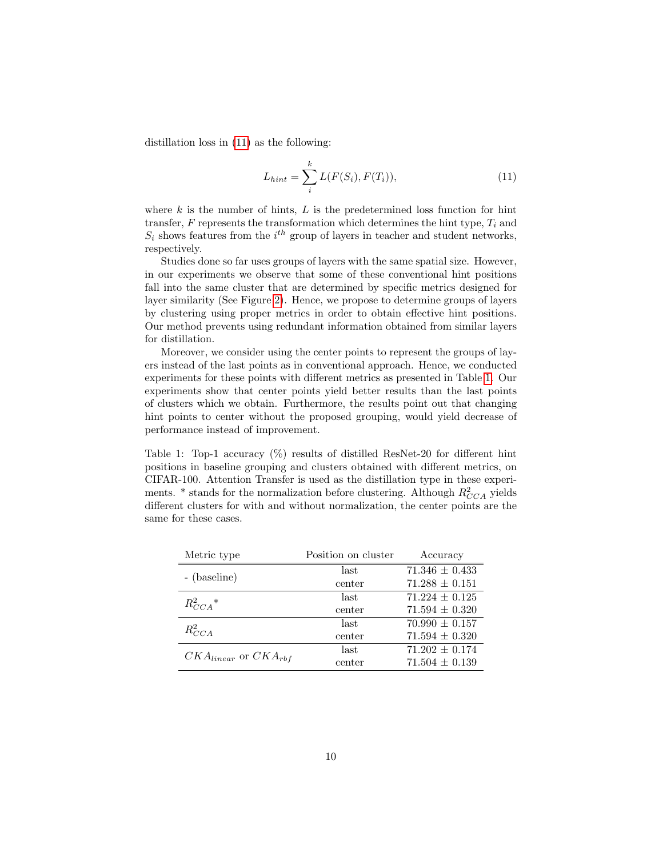distillation loss in [\(11\)](#page-9-0) as the following:

<span id="page-9-0"></span>
$$
L_{hint} = \sum_{i}^{k} L(F(S_i), F(T_i)),
$$
\n(11)

where  $k$  is the number of hints,  $L$  is the predetermined loss function for hint transfer,  $F$  represents the transformation which determines the hint type,  $T_i$  and  $S_i$  shows features from the  $i^{th}$  group of layers in teacher and student networks, respectively.

Studies done so far uses groups of layers with the same spatial size. However, in our experiments we observe that some of these conventional hint positions fall into the same cluster that are determined by specific metrics designed for layer similarity (See Figure [2\)](#page-11-0). Hence, we propose to determine groups of layers by clustering using proper metrics in order to obtain effective hint positions. Our method prevents using redundant information obtained from similar layers for distillation.

Moreover, we consider using the center points to represent the groups of layers instead of the last points as in conventional approach. Hence, we conducted experiments for these points with different metrics as presented in Table [1.](#page-9-1) Our experiments show that center points yield better results than the last points of clusters which we obtain. Furthermore, the results point out that changing hint points to center without the proposed grouping, would yield decrease of performance instead of improvement.

Table 1: Top-1 accuracy (%) results of distilled ResNet-20 for different hint positions in baseline grouping and clusters obtained with different metrics, on CIFAR-100. Attention Transfer is used as the distillation type in these experiments.  $*$  stands for the normalization before clustering. Although  $R_{CCA}^2$  yields different clusters for with and without normalization, the center points are the same for these cases.

<span id="page-9-1"></span>

| Metric type                   | Position on cluster | Accuracy           |
|-------------------------------|---------------------|--------------------|
| - (baseline)                  | last                | $71.346 \pm 0.433$ |
|                               | center              | $71.288 \pm 0.151$ |
| $R_{CCA}^2*$                  | last                | $71.224 \pm 0.125$ |
|                               | center              | $71.594 \pm 0.320$ |
| $R_{CCA}^2$                   | last                | $70.990 \pm 0.157$ |
|                               | center              | $71.594 \pm 0.320$ |
| $CKA_{linear}$ or $CKA_{rbf}$ | last                | $71.202 \pm 0.174$ |
|                               | center              | $71.504 \pm 0.139$ |
|                               |                     |                    |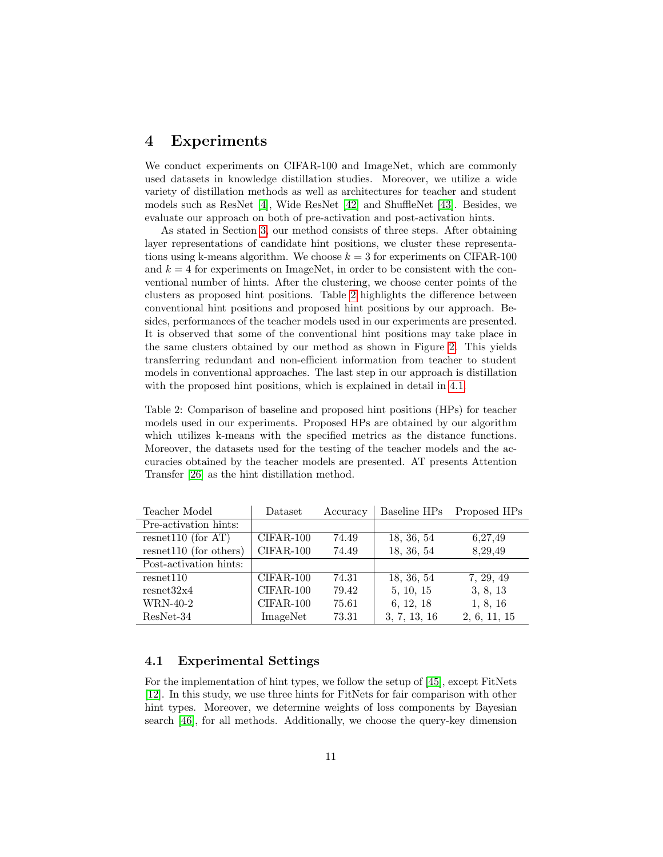## <span id="page-10-0"></span>4 Experiments

We conduct experiments on CIFAR-100 and ImageNet, which are commonly used datasets in knowledge distillation studies. Moreover, we utilize a wide variety of distillation methods as well as architectures for teacher and student models such as ResNet [\[4\]](#page-18-3), Wide ResNet [\[42\]](#page-21-12) and ShuffleNet [\[43\]](#page-21-13). Besides, we evaluate our approach on both of pre-activation and post-activation hints.

As stated in Section [3,](#page-5-0) our method consists of three steps. After obtaining layer representations of candidate hint positions, we cluster these representations using k-means algorithm. We choose  $k = 3$  for experiments on CIFAR-100 and  $k = 4$  for experiments on ImageNet, in order to be consistent with the conventional number of hints. After the clustering, we choose center points of the clusters as proposed hint positions. Table [2](#page-10-1) highlights the difference between conventional hint positions and proposed hint positions by our approach. Besides, performances of the teacher models used in our experiments are presented. It is observed that some of the conventional hint positions may take place in the same clusters obtained by our method as shown in Figure [2.](#page-11-0) This yields transferring redundant and non-efficient information from teacher to student models in conventional approaches. The last step in our approach is distillation with the proposed hint positions, which is explained in detail in [4.1.](#page-10-2)

Table 2: Comparison of baseline and proposed hint positions (HPs) for teacher models used in our experiments. Proposed HPs are obtained by our algorithm which utilizes k-means with the specified metrics as the distance functions. Moreover, the datasets used for the testing of the teacher models and the accuracies obtained by the teacher models are presented. AT presents Attention Transfer [\[26\]](#page-20-9) as the hint distillation method.

<span id="page-10-1"></span>

| Teacher Model            | Dataset     | Accuracy | Baseline HPs | Proposed HPs |
|--------------------------|-------------|----------|--------------|--------------|
| Pre-activation hints:    |             |          |              |              |
| resnet110 (for $AT$ )    | $CIFAR-100$ | 74.49    | 18, 36, 54   | 6,27,49      |
| $resnet110$ (for others) | $CIFAR-100$ | 74.49    | 18, 36, 54   | 8,29,49      |
| Post-activation hints:   |             |          |              |              |
| resent110                | $CIFAR-100$ | 74.31    | 18, 36, 54   | 7, 29, 49    |
| resnet32x4               | $CIFAR-100$ | 79.42    | 5, 10, 15    | 3, 8, 13     |
| WRN-40-2                 | $CIFAR-100$ | 75.61    | 6, 12, 18    | 1, 8, 16     |
| $ResNet-34$              | ImageNet    | 73.31    | 3, 7, 13, 16 | 2, 6, 11, 15 |

### <span id="page-10-2"></span>4.1 Experimental Settings

For the implementation of hint types, we follow the setup of [\[45\]](#page-22-0), except FitNets [\[12\]](#page-19-7). In this study, we use three hints for FitNets for fair comparison with other hint types. Moreover, we determine weights of loss components by Bayesian search [\[46\]](#page-22-1), for all methods. Additionally, we choose the query-key dimension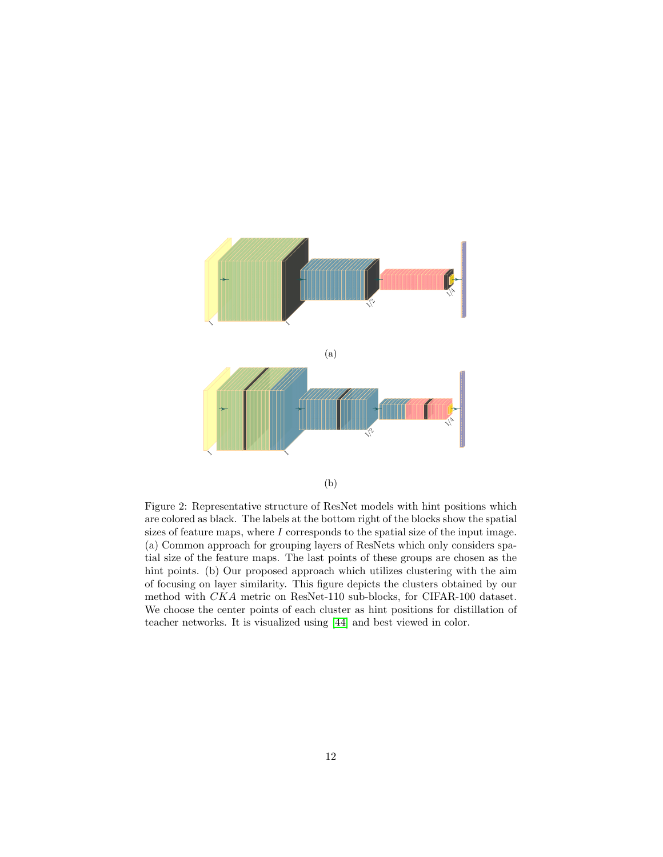<span id="page-11-0"></span>

Figure 2: Representative structure of ResNet models with hint positions which are colored as black. The labels at the bottom right of the blocks show the spatial sizes of feature maps, where  $I$  corresponds to the spatial size of the input image. (a) Common approach for grouping layers of ResNets which only considers spatial size of the feature maps. The last points of these groups are chosen as the hint points. (b) Our proposed approach which utilizes clustering with the aim of focusing on layer similarity. This figure depicts the clusters obtained by our method with CKA metric on ResNet-110 sub-blocks, for CIFAR-100 dataset. We choose the center points of each cluster as hint positions for distillation of teacher networks. It is visualized using [\[44\]](#page-22-2) and best viewed in color.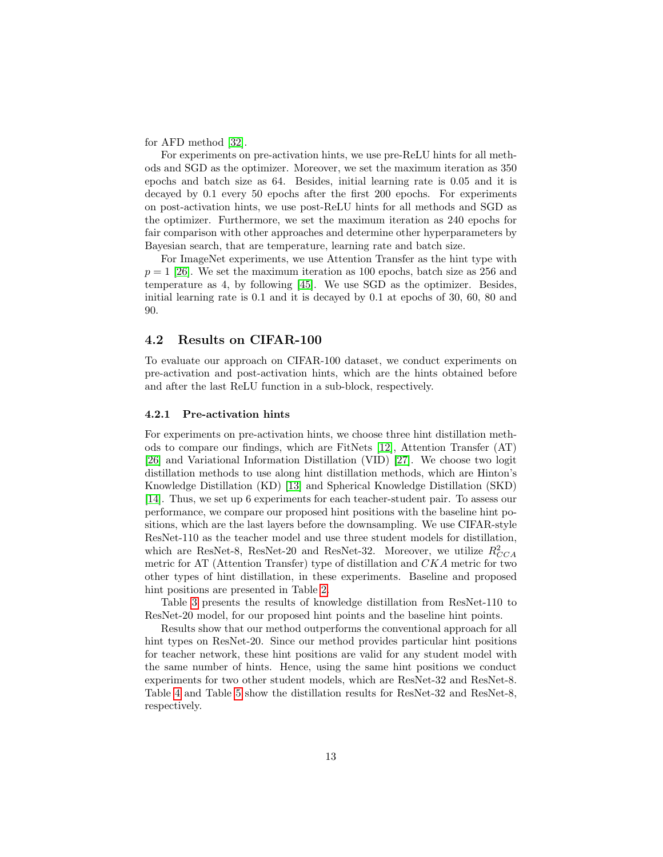for AFD method [\[32\]](#page-21-2).

For experiments on pre-activation hints, we use pre-ReLU hints for all methods and SGD as the optimizer. Moreover, we set the maximum iteration as 350 epochs and batch size as 64. Besides, initial learning rate is 0.05 and it is decayed by 0.1 every 50 epochs after the first 200 epochs. For experiments on post-activation hints, we use post-ReLU hints for all methods and SGD as the optimizer. Furthermore, we set the maximum iteration as 240 epochs for fair comparison with other approaches and determine other hyperparameters by Bayesian search, that are temperature, learning rate and batch size.

For ImageNet experiments, we use Attention Transfer as the hint type with  $p = 1$  [\[26\]](#page-20-9). We set the maximum iteration as 100 epochs, batch size as 256 and temperature as 4, by following [\[45\]](#page-22-0). We use SGD as the optimizer. Besides, initial learning rate is 0.1 and it is decayed by 0.1 at epochs of 30, 60, 80 and 90.

#### 4.2 Results on CIFAR-100

To evaluate our approach on CIFAR-100 dataset, we conduct experiments on pre-activation and post-activation hints, which are the hints obtained before and after the last ReLU function in a sub-block, respectively.

#### 4.2.1 Pre-activation hints

For experiments on pre-activation hints, we choose three hint distillation methods to compare our findings, which are FitNets [\[12\]](#page-19-7), Attention Transfer (AT) [\[26\]](#page-20-9) and Variational Information Distillation (VID) [\[27\]](#page-20-10). We choose two logit distillation methods to use along hint distillation methods, which are Hinton's Knowledge Distillation (KD) [\[13\]](#page-19-8) and Spherical Knowledge Distillation (SKD) [\[14\]](#page-19-9). Thus, we set up 6 experiments for each teacher-student pair. To assess our performance, we compare our proposed hint positions with the baseline hint positions, which are the last layers before the downsampling. We use CIFAR-style ResNet-110 as the teacher model and use three student models for distillation, which are ResNet-8, ResNet-20 and ResNet-32. Moreover, we utilize  $R_{CCA}^2$ metric for AT (Attention Transfer) type of distillation and CKA metric for two other types of hint distillation, in these experiments. Baseline and proposed hint positions are presented in Table [2.](#page-10-1)

Table [3](#page-13-0) presents the results of knowledge distillation from ResNet-110 to ResNet-20 model, for our proposed hint points and the baseline hint points.

Results show that our method outperforms the conventional approach for all hint types on ResNet-20. Since our method provides particular hint positions for teacher network, these hint positions are valid for any student model with the same number of hints. Hence, using the same hint positions we conduct experiments for two other student models, which are ResNet-32 and ResNet-8. Table [4](#page-13-1) and Table [5](#page-14-0) show the distillation results for ResNet-32 and ResNet-8, respectively.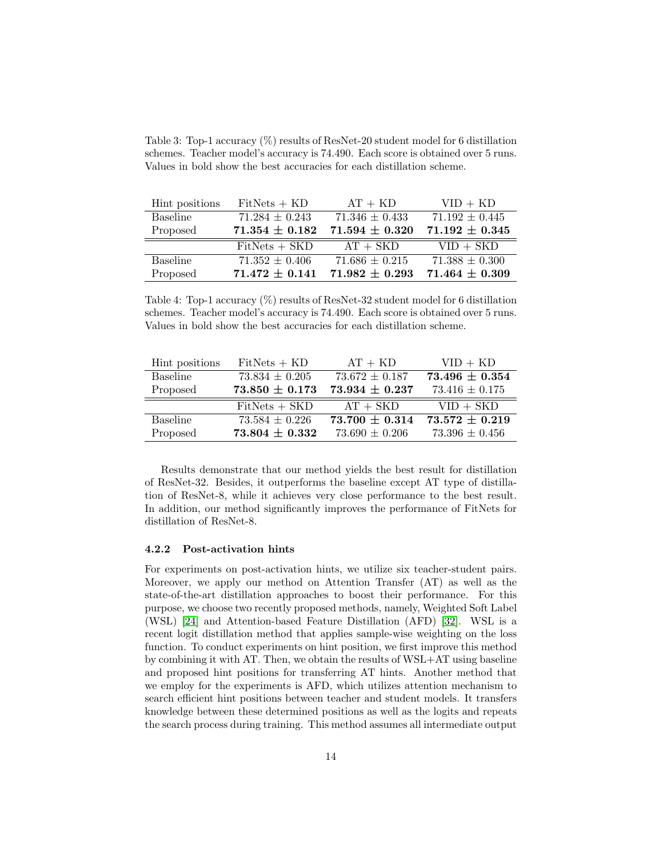Table 3: Top-1 accuracy (%) results of ResNet-20 student model for 6 distillation schemes. Teacher model's accuracy is 74.490. Each score is obtained over 5 runs. Values in bold show the best accuracies for each distillation scheme.

<span id="page-13-0"></span>

| Hint positions | $FitNets + KD$     | $AT + KD$          | $VID + KD$         |
|----------------|--------------------|--------------------|--------------------|
| Baseline       | $71.284 \pm 0.243$ | $71.346 \pm 0.433$ | $71.192 \pm 0.445$ |
| Proposed       | $71.354 \pm 0.182$ | $71.594 \pm 0.320$ | $71.192 \pm 0.345$ |
|                | $FitNets + SKD$    | $AT + SKD$         | $VID + SKD$        |
| Baseline       | $71.352 \pm 0.406$ | $71.686 \pm 0.215$ | $71.388 \pm 0.300$ |
| Proposed       | $71.472 \pm 0.141$ | $71.982 \pm 0.293$ | $71.464 \pm 0.309$ |

Table 4: Top-1 accuracy (%) results of ResNet-32 student model for 6 distillation schemes. Teacher model's accuracy is 74.490. Each score is obtained over 5 runs. Values in bold show the best accuracies for each distillation scheme.

<span id="page-13-1"></span>

| Hint positions | $FitNets + KD$     | $AT + KD$          | $VID + KD$         |
|----------------|--------------------|--------------------|--------------------|
| Baseline       | $73.834 \pm 0.205$ | $73.672 \pm 0.187$ | $73.496 \pm 0.354$ |
| Proposed       | $73.850 \pm 0.173$ | $73.934 \pm 0.237$ | $73.416 \pm 0.175$ |
|                | $FitNets + SKD$    | $AT + SKD$         | $VID + SKD$        |
| Baseline       | $73.584 \pm 0.226$ | $73.700 \pm 0.314$ | $73.572 \pm 0.219$ |
| Proposed       | $73.804 \pm 0.332$ | $73.690 \pm 0.206$ | $73.396 \pm 0.456$ |

Results demonstrate that our method yields the best result for distillation of ResNet-32. Besides, it outperforms the baseline except AT type of distillation of ResNet-8, while it achieves very close performance to the best result. In addition, our method significantly improves the performance of FitNets for distillation of ResNet-8.

#### 4.2.2 Post-activation hints

For experiments on post-activation hints, we utilize six teacher-student pairs. Moreover, we apply our method on Attention Transfer (AT) as well as the state-of-the-art distillation approaches to boost their performance. For this purpose, we choose two recently proposed methods, namely, Weighted Soft Label (WSL) [\[24\]](#page-20-7) and Attention-based Feature Distillation (AFD) [\[32\]](#page-21-2). WSL is a recent logit distillation method that applies sample-wise weighting on the loss function. To conduct experiments on hint position, we first improve this method by combining it with AT. Then, we obtain the results of WSL+AT using baseline and proposed hint positions for transferring AT hints. Another method that we employ for the experiments is AFD, which utilizes attention mechanism to search efficient hint positions between teacher and student models. It transfers knowledge between these determined positions as well as the logits and repeats the search process during training. This method assumes all intermediate output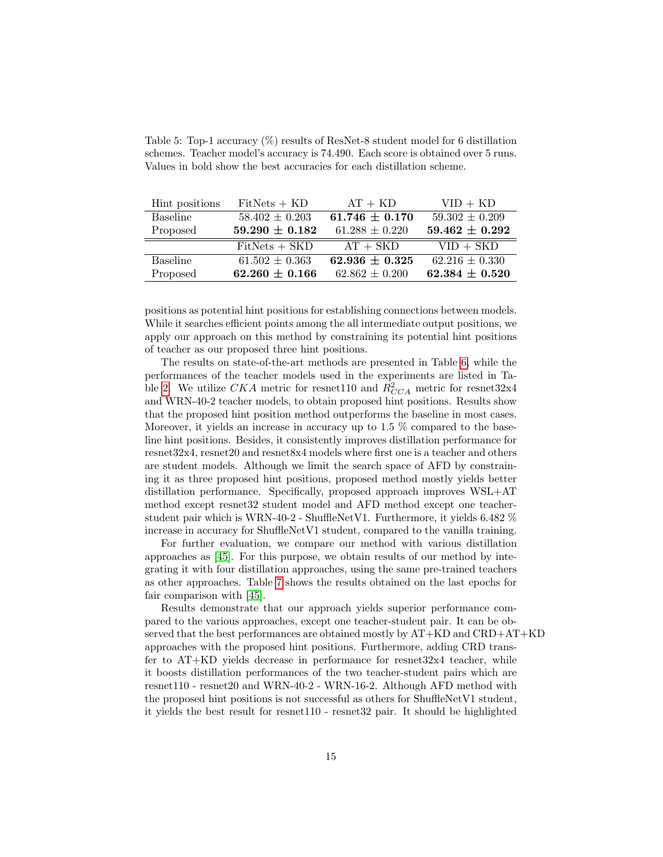|  | schemes. Teacher model's accuracy is 74.490. Each score is obtained over 5 runs. |  |  |
|--|----------------------------------------------------------------------------------|--|--|
|  | Values in bold show the best accuracies for each distillation scheme.            |  |  |
|  |                                                                                  |  |  |

Table 5: Top-1 accuracy (%) results of ResNet-8 student model for 6 distillation

<span id="page-14-0"></span>

| Hint positions  | $FitNets + KD$     | $AT + KD$          | $VID + KD$         |
|-----------------|--------------------|--------------------|--------------------|
| Baseline        | $58.402 \pm 0.203$ | $61.746 \pm 0.170$ | $59.302 \pm 0.209$ |
| Proposed        | $59.290 \pm 0.182$ | $61.288 \pm 0.220$ | $59.462 \pm 0.292$ |
|                 | $FitNets + SKD$    | $AT + SKD$         | $VID + SKD$        |
| <b>Baseline</b> | $61.502 \pm 0.363$ | $62.936 \pm 0.325$ | $62.216 \pm 0.330$ |
| Proposed        | $62.260 \pm 0.166$ | $62.862 \pm 0.200$ | $62.384 \pm 0.520$ |

positions as potential hint positions for establishing connections between models. While it searches efficient points among the all intermediate output positions, we apply our approach on this method by constraining its potential hint positions of teacher as our proposed three hint positions.

The results on state-of-the-art methods are presented in Table [6,](#page-15-0) while the performances of the teacher models used in the experiments are listed in Ta-ble [2.](#page-10-1) We utilize  $CKA$  metric for resnet110 and  $R_{CCA}^2$  metric for resnet32x4 and WRN-40-2 teacher models, to obtain proposed hint positions. Results show that the proposed hint position method outperforms the baseline in most cases. Moreover, it yields an increase in accuracy up to 1.5 % compared to the baseline hint positions. Besides, it consistently improves distillation performance for resnet32x4, resnet20 and resnet8x4 models where first one is a teacher and others are student models. Although we limit the search space of AFD by constraining it as three proposed hint positions, proposed method mostly yields better distillation performance. Specifically, proposed approach improves WSL+AT method except resnet32 student model and AFD method except one teacherstudent pair which is WRN-40-2 - ShuffleNetV1. Furthermore, it yields 6.482 % increase in accuracy for ShuffleNetV1 student, compared to the vanilla training.

For further evaluation, we compare our method with various distillation approaches as [\[45\]](#page-22-0). For this purpose, we obtain results of our method by integrating it with four distillation approaches, using the same pre-trained teachers as other approaches. Table [7](#page-16-0) shows the results obtained on the last epochs for fair comparison with [\[45\]](#page-22-0).

Results demonstrate that our approach yields superior performance compared to the various approaches, except one teacher-student pair. It can be observed that the best performances are obtained mostly by AT+KD and CRD+AT+KD approaches with the proposed hint positions. Furthermore, adding CRD transfer to  $AT+KD$  yields decrease in performance for resnet  $32x4$  teacher, while it boosts distillation performances of the two teacher-student pairs which are resnet110 - resnet20 and WRN-40-2 - WRN-16-2. Although AFD method with the proposed hint positions is not successful as others for ShuffleNetV1 student, it yields the best result for resnet110 - resnet32 pair. It should be highlighted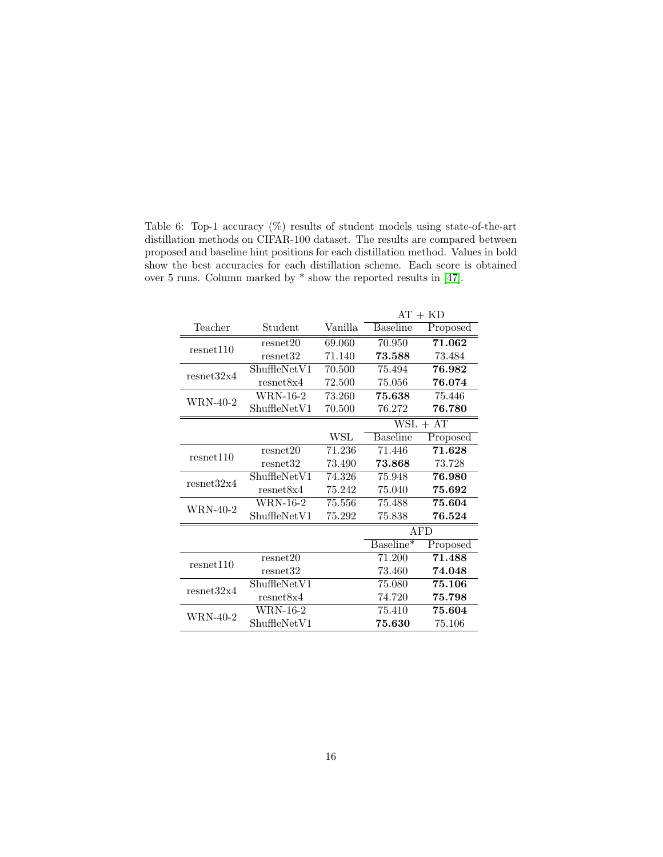Table 6: Top-1 accuracy (%) results of student models using state-of-the-art distillation methods on CIFAR-100 dataset. The results are compared between proposed and baseline hint positions for each distillation method. Values in bold show the best accuracies for each distillation scheme. Each score is obtained over 5 runs. Column marked by \* show the reported results in [\[47\]](#page-22-3).

<span id="page-15-0"></span>

|            |                      |         | $AT + KD$       |            |  |  |
|------------|----------------------|---------|-----------------|------------|--|--|
| Teacher    | Student              | Vanilla | <b>Baseline</b> | Proposed   |  |  |
| resnet110  | resnet20             | 69.060  | 70.950          | 71.062     |  |  |
|            | resnet <sub>32</sub> | 71.140  | 73.588          | 73.484     |  |  |
| resnet32x4 | ShuffleNetV1         | 70.500  | 75.494          | 76.982     |  |  |
|            | resnet8x4            | 72.500  | 75.056          | 76.074     |  |  |
| WRN-40-2   | <b>WRN-16-2</b>      | 73.260  | 75.638          | 75.446     |  |  |
|            | ShuffleNetV1         | 70.500  | 76.272          | 76.780     |  |  |
|            |                      |         | $WSL + AT$      |            |  |  |
|            |                      | WSL     | <b>Baseline</b> | Proposed   |  |  |
| resnet110  | resnet20             | 71.236  | 71.446          | 71.628     |  |  |
|            | resnet32             | 73.490  | 73.868          | 73.728     |  |  |
| resnet32x4 | ShuffleNetV1         | 74.326  | 75.948          | 76.980     |  |  |
|            | resnet8x4            | 75.242  | 75.040          | 75.692     |  |  |
| WRN-40-2   | <b>WRN-16-2</b>      | 75.556  | 75.488          | 75.604     |  |  |
|            | ShuffleNetV1         | 75.292  | 75.838          | 76.524     |  |  |
|            |                      |         |                 | <b>AFD</b> |  |  |
|            |                      |         | Baseline*       | Proposed   |  |  |
| resnet110  | resnet20             |         | 71.200          | 71.488     |  |  |
|            | resnet <sub>32</sub> |         | 73.460          | 74.048     |  |  |
| resnet32x4 | ShuffleNetV1         |         | 75.080          | 75.106     |  |  |
|            | resnet8x4            |         | 74.720          | 75.798     |  |  |
| WRN-40-2   | <b>WRN-16-2</b>      |         | 75.410          | 75.604     |  |  |
|            | ShuffleNetV1         |         | 75.630          | 75.106     |  |  |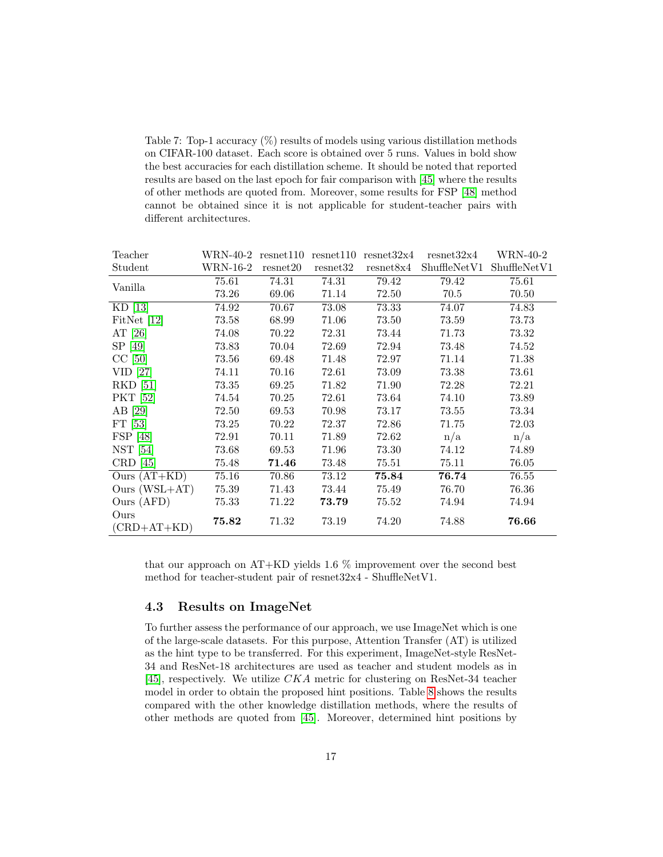Table 7: Top-1 accuracy (%) results of models using various distillation methods on CIFAR-100 dataset. Each score is obtained over 5 runs. Values in bold show the best accuracies for each distillation scheme. It should be noted that reported results are based on the last epoch for fair comparison with [\[45\]](#page-22-0) where the results of other methods are quoted from. Moreover, some results for FSP [\[48\]](#page-22-4) method cannot be obtained since it is not applicable for student-teacher pairs with different architectures.

<span id="page-16-0"></span>

| Teacher                          | $WRN-40-2$ resnet110 |          |          | $resnet110$ $resnet32x4$ | resnet32x4   | WRN-40-2                 |
|----------------------------------|----------------------|----------|----------|--------------------------|--------------|--------------------------|
| Student                          | WRN-16-2             | resnet20 | resnet32 | resnet8x4                | ShuffleNetV1 | ShuffleNet <sub>V1</sub> |
| Vanilla                          | 75.61                | 74.31    | 74.31    | 79.42                    | 79.42        | 75.61                    |
|                                  | 73.26                | 69.06    | 71.14    | 72.50                    | 70.5         | 70.50                    |
| $KD$ [13]                        | 74.92                | 70.67    | 73.08    | 73.33                    | 74.07        | 74.83                    |
| FitNet $[12]$                    | 73.58                | 68.99    | 71.06    | 73.50                    | 73.59        | 73.73                    |
| AT $[26]$                        | 74.08                | 70.22    | 72.31    | 73.44                    | 71.73        | 73.32                    |
| SP [49]                          | 73.83                | 70.04    | 72.69    | 72.94                    | 73.48        | 74.52                    |
| $CC$ [50]                        | 73.56                | 69.48    | 71.48    | 72.97                    | 71.14        | 71.38                    |
| $VID$ [27]                       | 74.11                | 70.16    | 72.61    | 73.09                    | 73.38        | 73.61                    |
| <b>RKD</b> [51]                  | 73.35                | 69.25    | 71.82    | 71.90                    | 72.28        | 72.21                    |
| <b>PKT</b> [52]                  | 74.54                | 70.25    | 72.61    | 73.64                    | 74.10        | 73.89                    |
| AB [29]                          | 72.50                | 69.53    | 70.98    | 73.17                    | 73.55        | 73.34                    |
| FT $[53]$                        | 73.25                | 70.22    | 72.37    | 72.86                    | 71.75        | 72.03                    |
| FSP [48]                         | 72.91                | 70.11    | 71.89    | 72.62                    | n/a          | n/a                      |
| NST <sub>[54]</sub>              | 73.68                | 69.53    | 71.96    | 73.30                    | 74.12        | 74.89                    |
| $CRD$ [45]                       | 75.48                | 71.46    | 73.48    | 75.51                    | 75.11        | 76.05                    |
| $\overline{\text{Ours}}$ (AT+KD) | 75.16                | 70.86    | 73.12    | 75.84                    | 76.74        | 76.55                    |
| Ours $(WSL+AT)$                  | 75.39                | 71.43    | 73.44    | 75.49                    | 76.70        | 76.36                    |
| Ours (AFD)                       | 75.33                | 71.22    | 73.79    | 75.52                    | 74.94        | 74.94                    |
| Ours<br>$(CRD+AT+KD)$            | 75.82                | 71.32    | 73.19    | 74.20                    | 74.88        | 76.66                    |

that our approach on AT+KD yields 1.6 % improvement over the second best method for teacher-student pair of resnet32x4 - ShuffleNetV1.

### 4.3 Results on ImageNet

To further assess the performance of our approach, we use ImageNet which is one of the large-scale datasets. For this purpose, Attention Transfer (AT) is utilized as the hint type to be transferred. For this experiment, ImageNet-style ResNet-34 and ResNet-18 architectures are used as teacher and student models as in [\[45\]](#page-22-0), respectively. We utilize CKA metric for clustering on ResNet-34 teacher model in order to obtain the proposed hint positions. Table [8](#page-17-0) shows the results compared with the other knowledge distillation methods, where the results of other methods are quoted from [\[45\]](#page-22-0). Moreover, determined hint positions by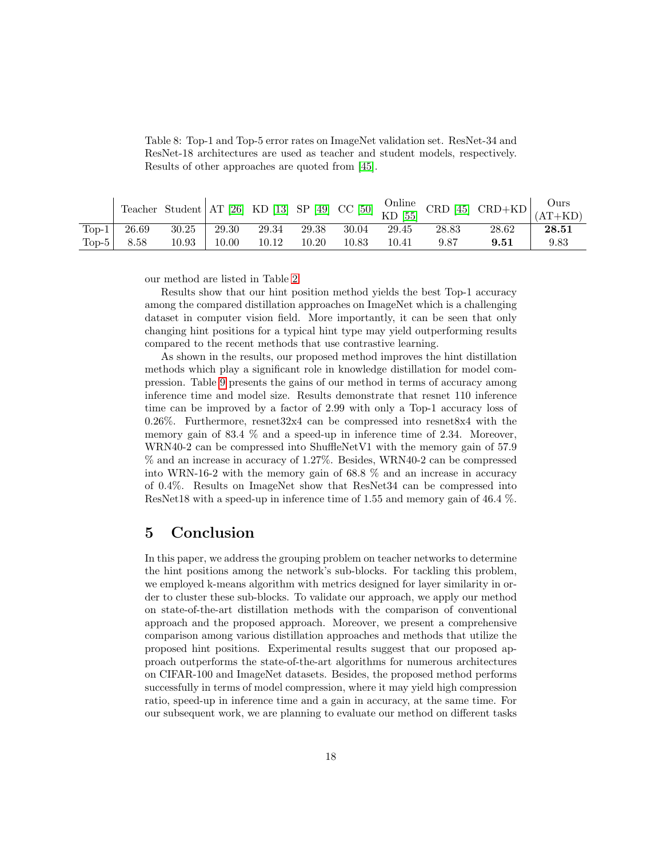|          |                                                             |       |       |       |       |         |       |       | Teacher Student AT [26] KD [13] SP [49] CC [50] $\frac{\text{Online}}{\text{KD}}$ CRD [45] CRD+KD $\frac{\text{Ours}}{\text{(AT+KD)}}$ |                      |
|----------|-------------------------------------------------------------|-------|-------|-------|-------|---------|-------|-------|----------------------------------------------------------------------------------------------------------------------------------------|----------------------|
| $Top-1$  | $\begin{array}{c} \begin{array}{c} \end{array} \end{array}$ | 30.25 | 29.30 | 29.34 | 29.38 | - 30.04 | 29.45 | 28.83 | 28.62                                                                                                                                  | $\boldsymbol{28.51}$ |
| Top- $5$ | 8.58                                                        | 10.93 | 10.00 | 10.12 | 10.20 | 10.83   | 10.41 | 9.87  | 9.51                                                                                                                                   | 9.83                 |

<span id="page-17-0"></span>Table 8: Top-1 and Top-5 error rates on ImageNet validation set. ResNet-34 and ResNet-18 architectures are used as teacher and student models, respectively. Results of other approaches are quoted from [\[45\]](#page-22-0).

our method are listed in Table [2.](#page-10-1)

Results show that our hint position method yields the best Top-1 accuracy among the compared distillation approaches on ImageNet which is a challenging dataset in computer vision field. More importantly, it can be seen that only changing hint positions for a typical hint type may yield outperforming results compared to the recent methods that use contrastive learning.

As shown in the results, our proposed method improves the hint distillation methods which play a significant role in knowledge distillation for model compression. Table [9](#page-18-4) presents the gains of our method in terms of accuracy among inference time and model size. Results demonstrate that resnet 110 inference time can be improved by a factor of 2.99 with only a Top-1 accuracy loss of 0.26%. Furthermore, resnet32x4 can be compressed into resnet8x4 with the memory gain of 83.4 % and a speed-up in inference time of 2.34. Moreover, WRN40-2 can be compressed into ShuffleNetV1 with the memory gain of 57.9 % and an increase in accuracy of 1.27%. Besides, WRN40-2 can be compressed into WRN-16-2 with the memory gain of 68.8 % and an increase in accuracy of 0.4%. Results on ImageNet show that ResNet34 can be compressed into ResNet18 with a speed-up in inference time of 1.55 and memory gain of 46.4 %.

## 5 Conclusion

In this paper, we address the grouping problem on teacher networks to determine the hint positions among the network's sub-blocks. For tackling this problem, we employed k-means algorithm with metrics designed for layer similarity in order to cluster these sub-blocks. To validate our approach, we apply our method on state-of-the-art distillation methods with the comparison of conventional approach and the proposed approach. Moreover, we present a comprehensive comparison among various distillation approaches and methods that utilize the proposed hint positions. Experimental results suggest that our proposed approach outperforms the state-of-the-art algorithms for numerous architectures on CIFAR-100 and ImageNet datasets. Besides, the proposed method performs successfully in terms of model compression, where it may yield high compression ratio, speed-up in inference time and a gain in accuracy, at the same time. For our subsequent work, we are planning to evaluate our method on different tasks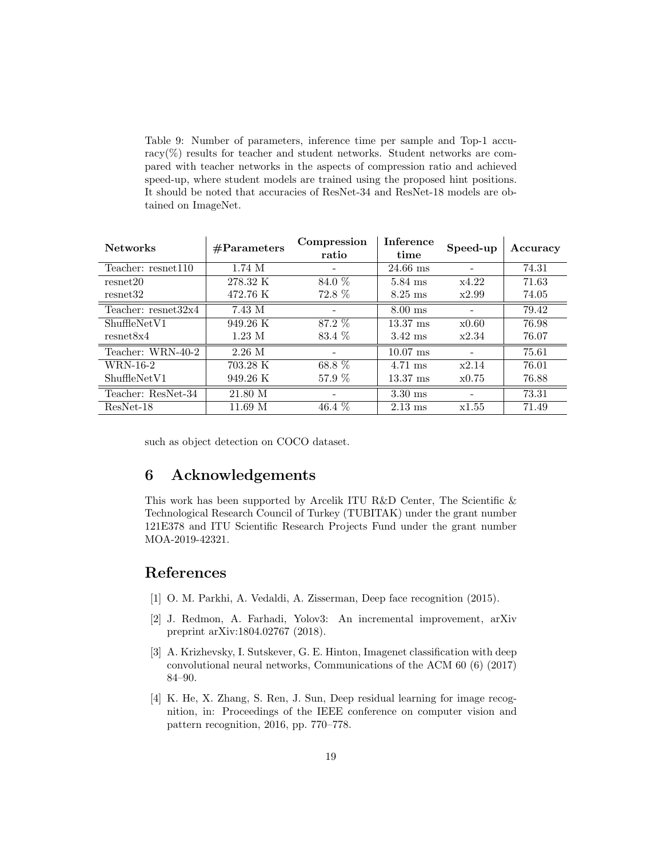Table 9: Number of parameters, inference time per sample and Top-1 accuracy( $\%$ ) results for teacher and student networks. Student networks are compared with teacher networks in the aspects of compression ratio and achieved speed-up, where student models are trained using the proposed hint positions. It should be noted that accuracies of ResNet-34 and ResNet-18 models are obtained on ImageNet.

<span id="page-18-4"></span>

| <b>Networks</b>       | #Parameters        | Compression<br>ratio | Inference<br>time  | Speed-up | Accuracy |
|-----------------------|--------------------|----------------------|--------------------|----------|----------|
| Teacher: resnet110    | $1.74\;M$          |                      | $24.66$ ms         |          | 74.31    |
| resnet20              | 278.32 K           | $84.0\%$             | 5.84 ms            | x4.22    | 71.63    |
| resnet32              | 472.76 K           | 72.8 %               | $8.25$ ms          | x2.99    | 74.05    |
| Teacher: $resnet32x4$ | 7.43 M             |                      | $8.00$ ms          |          | 79.42    |
| ShuffleNetV1          | $949.26 \text{ K}$ | 87.2 %               | $13.37 \text{ ms}$ | x0.60    | 76.98    |
| resnet8x4             | $1.23 \text{ M}$   | 83.4 %               | $3.42$ ms          | x2.34    | 76.07    |
| Teacher: WRN-40-2     | $2.26$ M           |                      | $10.07$ ms         |          | 75.61    |
| WRN-16-2              | 703.28 K           | 68.8 %               | 4.71 ms            | x2.14    | 76.01    |
| ShuffleNetV1          | $949.26 \text{ K}$ | 57.9 %               | $13.37 \text{ ms}$ | x0.75    | 76.88    |
| Teacher: ResNet-34    | 21.80 M            |                      | $3.30$ ms          |          | 73.31    |
| ResNet-18             | 11.69 <sub>M</sub> | 46.4 $%$             | $2.13$ ms          | x1.55    | 71.49    |

such as object detection on COCO dataset.

# 6 Acknowledgements

This work has been supported by Arcelik ITU R&D Center, The Scientific & Technological Research Council of Turkey (TUBITAK) under the grant number 121E378 and ITU Scientific Research Projects Fund under the grant number MOA-2019-42321.

# References

- <span id="page-18-0"></span>[1] O. M. Parkhi, A. Vedaldi, A. Zisserman, Deep face recognition (2015).
- <span id="page-18-1"></span>[2] J. Redmon, A. Farhadi, Yolov3: An incremental improvement, arXiv preprint arXiv:1804.02767 (2018).
- <span id="page-18-2"></span>[3] A. Krizhevsky, I. Sutskever, G. E. Hinton, Imagenet classification with deep convolutional neural networks, Communications of the ACM 60 (6) (2017) 84–90.
- <span id="page-18-3"></span>[4] K. He, X. Zhang, S. Ren, J. Sun, Deep residual learning for image recognition, in: Proceedings of the IEEE conference on computer vision and pattern recognition, 2016, pp. 770–778.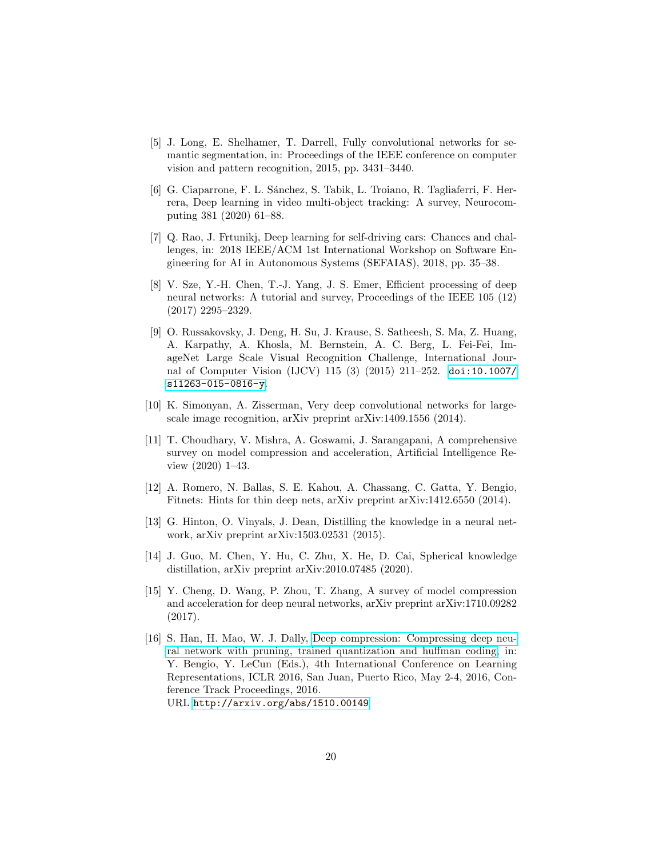- <span id="page-19-0"></span>[5] J. Long, E. Shelhamer, T. Darrell, Fully convolutional networks for semantic segmentation, in: Proceedings of the IEEE conference on computer vision and pattern recognition, 2015, pp. 3431–3440.
- <span id="page-19-1"></span>[6] G. Ciaparrone, F. L. Sánchez, S. Tabik, L. Troiano, R. Tagliaferri, F. Herrera, Deep learning in video multi-object tracking: A survey, Neurocomputing 381 (2020) 61–88.
- <span id="page-19-2"></span>[7] Q. Rao, J. Frtunikj, Deep learning for self-driving cars: Chances and challenges, in: 2018 IEEE/ACM 1st International Workshop on Software Engineering for AI in Autonomous Systems (SEFAIAS), 2018, pp. 35–38.
- <span id="page-19-3"></span>[8] V. Sze, Y.-H. Chen, T.-J. Yang, J. S. Emer, Efficient processing of deep neural networks: A tutorial and survey, Proceedings of the IEEE 105 (12) (2017) 2295–2329.
- <span id="page-19-4"></span>[9] O. Russakovsky, J. Deng, H. Su, J. Krause, S. Satheesh, S. Ma, Z. Huang, A. Karpathy, A. Khosla, M. Bernstein, A. C. Berg, L. Fei-Fei, ImageNet Large Scale Visual Recognition Challenge, International Journal of Computer Vision (IJCV) 115 (3) (2015) 211–252. [doi:10.1007/](https://doi.org/10.1007/s11263-015-0816-y) [s11263-015-0816-y](https://doi.org/10.1007/s11263-015-0816-y).
- <span id="page-19-5"></span>[10] K. Simonyan, A. Zisserman, Very deep convolutional networks for largescale image recognition, arXiv preprint arXiv:1409.1556 (2014).
- <span id="page-19-6"></span>[11] T. Choudhary, V. Mishra, A. Goswami, J. Sarangapani, A comprehensive survey on model compression and acceleration, Artificial Intelligence Review (2020) 1–43.
- <span id="page-19-7"></span>[12] A. Romero, N. Ballas, S. E. Kahou, A. Chassang, C. Gatta, Y. Bengio, Fitnets: Hints for thin deep nets, arXiv preprint arXiv:1412.6550 (2014).
- <span id="page-19-8"></span>[13] G. Hinton, O. Vinyals, J. Dean, Distilling the knowledge in a neural network, arXiv preprint arXiv:1503.02531 (2015).
- <span id="page-19-9"></span>[14] J. Guo, M. Chen, Y. Hu, C. Zhu, X. He, D. Cai, Spherical knowledge distillation, arXiv preprint arXiv:2010.07485 (2020).
- <span id="page-19-10"></span>[15] Y. Cheng, D. Wang, P. Zhou, T. Zhang, A survey of model compression and acceleration for deep neural networks, arXiv preprint arXiv:1710.09282 (2017).
- <span id="page-19-11"></span>[16] S. Han, H. Mao, W. J. Dally, [Deep compression: Compressing deep neu](http://arxiv.org/abs/1510.00149)[ral network with pruning, trained quantization and huffman coding,](http://arxiv.org/abs/1510.00149) in: Y. Bengio, Y. LeCun (Eds.), 4th International Conference on Learning Representations, ICLR 2016, San Juan, Puerto Rico, May 2-4, 2016, Conference Track Proceedings, 2016. URL <http://arxiv.org/abs/1510.00149>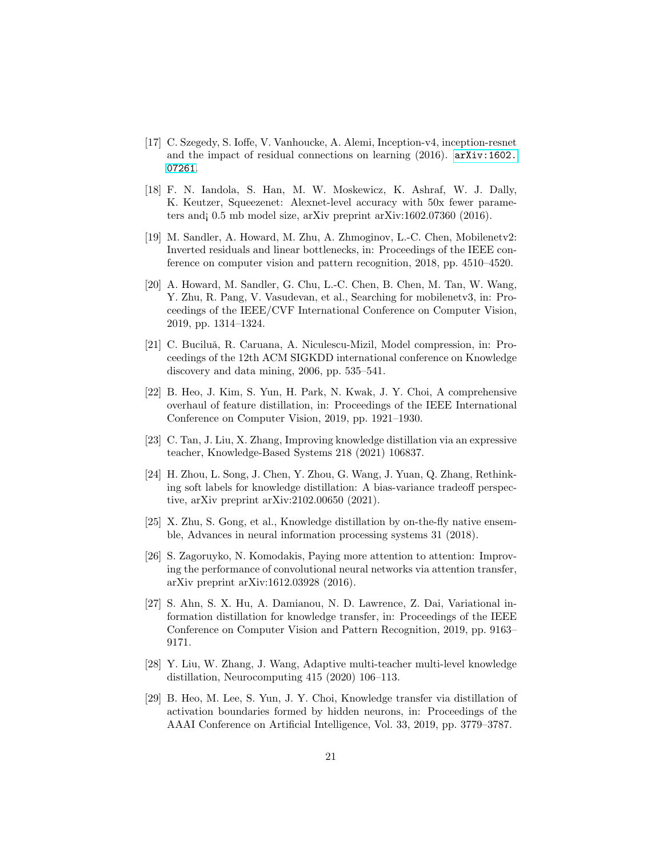- <span id="page-20-0"></span>[17] C. Szegedy, S. Ioffe, V. Vanhoucke, A. Alemi, Inception-v4, inception-resnet and the impact of residual connections on learning (2016). [arXiv:1602.](http://arxiv.org/abs/1602.07261) [07261](http://arxiv.org/abs/1602.07261).
- <span id="page-20-1"></span>[18] F. N. Iandola, S. Han, M. W. Moskewicz, K. Ashraf, W. J. Dally, K. Keutzer, Squeezenet: Alexnet-level accuracy with 50x fewer parameters and¡ 0.5 mb model size, arXiv preprint arXiv:1602.07360 (2016).
- <span id="page-20-2"></span>[19] M. Sandler, A. Howard, M. Zhu, A. Zhmoginov, L.-C. Chen, Mobilenetv2: Inverted residuals and linear bottlenecks, in: Proceedings of the IEEE conference on computer vision and pattern recognition, 2018, pp. 4510–4520.
- <span id="page-20-3"></span>[20] A. Howard, M. Sandler, G. Chu, L.-C. Chen, B. Chen, M. Tan, W. Wang, Y. Zhu, R. Pang, V. Vasudevan, et al., Searching for mobilenetv3, in: Proceedings of the IEEE/CVF International Conference on Computer Vision, 2019, pp. 1314–1324.
- <span id="page-20-4"></span>[21] C. Buciluă, R. Caruana, A. Niculescu-Mizil, Model compression, in: Proceedings of the 12th ACM SIGKDD international conference on Knowledge discovery and data mining, 2006, pp. 535–541.
- <span id="page-20-5"></span>[22] B. Heo, J. Kim, S. Yun, H. Park, N. Kwak, J. Y. Choi, A comprehensive overhaul of feature distillation, in: Proceedings of the IEEE International Conference on Computer Vision, 2019, pp. 1921–1930.
- <span id="page-20-6"></span>[23] C. Tan, J. Liu, X. Zhang, Improving knowledge distillation via an expressive teacher, Knowledge-Based Systems 218 (2021) 106837.
- <span id="page-20-7"></span>[24] H. Zhou, L. Song, J. Chen, Y. Zhou, G. Wang, J. Yuan, Q. Zhang, Rethinking soft labels for knowledge distillation: A bias-variance tradeoff perspective, arXiv preprint arXiv:2102.00650 (2021).
- <span id="page-20-8"></span>[25] X. Zhu, S. Gong, et al., Knowledge distillation by on-the-fly native ensemble, Advances in neural information processing systems 31 (2018).
- <span id="page-20-9"></span>[26] S. Zagoruyko, N. Komodakis, Paying more attention to attention: Improving the performance of convolutional neural networks via attention transfer, arXiv preprint arXiv:1612.03928 (2016).
- <span id="page-20-10"></span>[27] S. Ahn, S. X. Hu, A. Damianou, N. D. Lawrence, Z. Dai, Variational information distillation for knowledge transfer, in: Proceedings of the IEEE Conference on Computer Vision and Pattern Recognition, 2019, pp. 9163– 9171.
- <span id="page-20-11"></span>[28] Y. Liu, W. Zhang, J. Wang, Adaptive multi-teacher multi-level knowledge distillation, Neurocomputing 415 (2020) 106–113.
- <span id="page-20-12"></span>[29] B. Heo, M. Lee, S. Yun, J. Y. Choi, Knowledge transfer via distillation of activation boundaries formed by hidden neurons, in: Proceedings of the AAAI Conference on Artificial Intelligence, Vol. 33, 2019, pp. 3779–3787.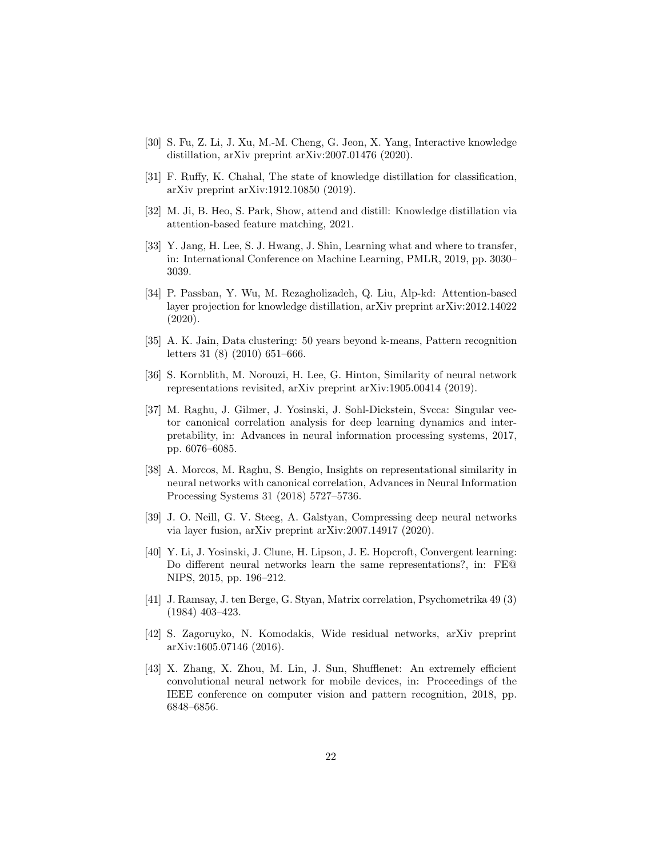- <span id="page-21-0"></span>[30] S. Fu, Z. Li, J. Xu, M.-M. Cheng, G. Jeon, X. Yang, Interactive knowledge distillation, arXiv preprint arXiv:2007.01476 (2020).
- <span id="page-21-1"></span>[31] F. Ruffy, K. Chahal, The state of knowledge distillation for classification, arXiv preprint arXiv:1912.10850 (2019).
- <span id="page-21-2"></span>[32] M. Ji, B. Heo, S. Park, Show, attend and distill: Knowledge distillation via attention-based feature matching, 2021.
- <span id="page-21-3"></span>[33] Y. Jang, H. Lee, S. J. Hwang, J. Shin, Learning what and where to transfer, in: International Conference on Machine Learning, PMLR, 2019, pp. 3030– 3039.
- <span id="page-21-4"></span>[34] P. Passban, Y. Wu, M. Rezagholizadeh, Q. Liu, Alp-kd: Attention-based layer projection for knowledge distillation, arXiv preprint arXiv:2012.14022 (2020).
- <span id="page-21-5"></span>[35] A. K. Jain, Data clustering: 50 years beyond k-means, Pattern recognition letters 31 (8) (2010) 651–666.
- <span id="page-21-6"></span>[36] S. Kornblith, M. Norouzi, H. Lee, G. Hinton, Similarity of neural network representations revisited, arXiv preprint arXiv:1905.00414 (2019).
- <span id="page-21-7"></span>[37] M. Raghu, J. Gilmer, J. Yosinski, J. Sohl-Dickstein, Svcca: Singular vector canonical correlation analysis for deep learning dynamics and interpretability, in: Advances in neural information processing systems, 2017, pp. 6076–6085.
- <span id="page-21-8"></span>[38] A. Morcos, M. Raghu, S. Bengio, Insights on representational similarity in neural networks with canonical correlation, Advances in Neural Information Processing Systems 31 (2018) 5727–5736.
- <span id="page-21-9"></span>[39] J. O. Neill, G. V. Steeg, A. Galstyan, Compressing deep neural networks via layer fusion, arXiv preprint arXiv:2007.14917 (2020).
- <span id="page-21-10"></span>[40] Y. Li, J. Yosinski, J. Clune, H. Lipson, J. E. Hopcroft, Convergent learning: Do different neural networks learn the same representations?, in: FE@ NIPS, 2015, pp. 196–212.
- <span id="page-21-11"></span>[41] J. Ramsay, J. ten Berge, G. Styan, Matrix correlation, Psychometrika 49 (3) (1984) 403–423.
- <span id="page-21-12"></span>[42] S. Zagoruyko, N. Komodakis, Wide residual networks, arXiv preprint arXiv:1605.07146 (2016).
- <span id="page-21-13"></span>[43] X. Zhang, X. Zhou, M. Lin, J. Sun, Shufflenet: An extremely efficient convolutional neural network for mobile devices, in: Proceedings of the IEEE conference on computer vision and pattern recognition, 2018, pp. 6848–6856.